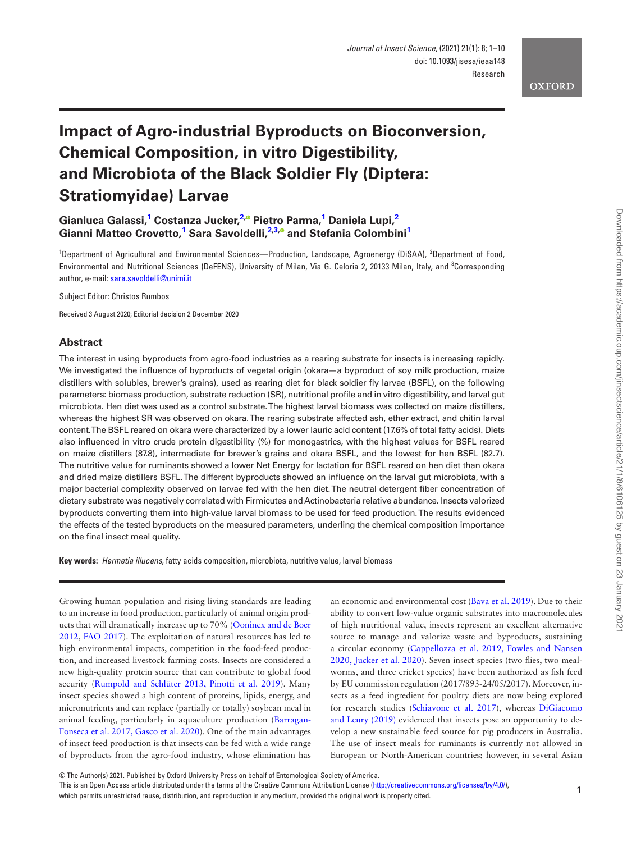## **OXFORD**

# **Impact of Agro-industrial Byproducts on Bioconversion, Chemical Composition, in vitro Digestibility, and Microbiota of the Black Soldier Fly (Diptera: Stratiomyidae) Larvae**

 $G$ ianluca Galassi,<sup>[1](#page-0-0)</sup> Costanza Jucker,<sup>[2](#page-0-1),®</sup> Pietro Parma,<sup>1</sup> Daniela Lupi,<sup>2</sup>  $\frac{1}{2}$  $\frac{1}{2}$  $\frac{1}{2}$  Gianni Matteo Crovetto,<sup>1</sup> Sara Savoldelli, $\frac{2.3.0}{2}$  $\frac{2.3.0}{2}$  $\frac{2.3.0}{2}$  and Stefania Colombini<sup>1</sup>

<span id="page-0-2"></span><span id="page-0-1"></span><span id="page-0-0"></span><sup>1</sup>Department of Agricultural and Environmental Sciences—Production, Landscape, Agroenergy (DiSAA), <sup>2</sup>Department of Food, Environmental and Nutritional Sciences (DeFENS), University of Milan, Via G. Celoria 2, 20133 Milan, Italy, and <sup>3</sup>Corresponding author, e-mail: [sara.savoldelli@unimi.it](mailto:sara.savoldelli@unimi.it?subject=)

Subject Editor: Christos Rumbos

Received 3 August 2020; Editorial decision 2 December 2020

## **Abstract**

The interest in using byproducts from agro-food industries as a rearing substrate for insects is increasing rapidly. We investigated the influence of byproducts of vegetal origin (okara-a byproduct of soy milk production, maize distillers with solubles, brewer's grains), used as rearing diet for black soldier fly larvae (BSFL), on the following parameters: biomass production, substrate reduction (SR), nutritional profile and in vitro digestibility, and larval gut microbiota. Hen diet was used as a control substrate. The highest larval biomass was collected on maize distillers, whereas the highest SR was observed on okara. The rearing substrate affected ash, ether extract, and chitin larval content. The BSFL reared on okara were characterized by a lower lauric acid content (17.6% of total fatty acids). Diets also influenced in vitro crude protein digestibility (%) for monogastrics, with the highest values for BSFL reared on maize distillers (87.8), intermediate for brewer's grains and okara BSFL, and the lowest for hen BSFL (82.7). The nutritive value for ruminants showed a lower Net Energy for lactation for BSFL reared on hen diet than okara and dried maize distillers BSFL. The different byproducts showed an influence on the larval gut microbiota, with a major bacterial complexity observed on larvae fed with the hen diet. The neutral detergent fiber concentration of dietary substrate was negatively correlated with Firmicutes and Actinobacteria relative abundance. Insects valorized byproducts converting them into high-value larval biomass to be used for feed production. The results evidenced the effects of the tested byproducts on the measured parameters, underling the chemical composition importance on the final insect meal quality.

**Key words:** *Hermetia illucens*, fatty acids composition, microbiota, nutritive value, larval biomass

Growing human population and rising living standards are leading to an increase in food production, particularly of animal origin products that will dramatically increase up to 70% [\(Oonincx and de Boer](#page-9-0) [2012,](#page-9-0) [FAO 2017](#page-8-0)). The exploitation of natural resources has led to high environmental impacts, competition in the food-feed production, and increased livestock farming costs. Insects are considered a new high-quality protein source that can contribute to global food security ([Rumpold and Schlüter 2013,](#page-9-1) [Pinotti et al. 2019\)](#page-9-2). Many insect species showed a high content of proteins, lipids, energy, and micronutrients and can replace (partially or totally) soybean meal in animal feeding, particularly in aquaculture production ([Barragan-](#page-8-1)[Fonseca et al. 2017,](#page-8-1) [Gasco et al. 2020\)](#page-8-2). One of the main advantages of insect feed production is that insects can be fed with a wide range of byproducts from the agro-food industry, whose elimination has an economic and environmental cost ([Bava et al. 2019\)](#page-8-3). Due to their ability to convert low-value organic substrates into macromolecules of high nutritional value, insects represent an excellent alternative source to manage and valorize waste and byproducts, sustaining a circular economy [\(Cappellozza et al. 2019,](#page-8-4) [Fowles and Nansen](#page-8-5) [2020,](#page-8-5) [Jucker et al. 2020\)](#page-8-6). Seven insect species (two flies, two mealworms, and three cricket species) have been authorized as fish feed by EU commission regulation (2017/893-24/05/2017). Moreover, insects as a feed ingredient for poultry diets are now being explored for research studies [\(Schiavone et al. 2017](#page-9-3)), whereas [DiGiacomo](#page-8-7) [and Leury \(2019\)](#page-8-7) evidenced that insects pose an opportunity to develop a new sustainable feed source for pig producers in Australia. The use of insect meals for ruminants is currently not allowed in European or North-American countries; however, in several Asian

© The Author(s) 2021. Published by Oxford University Press on behalf of Entomological Society of America.

This is an Open Access article distributed under the terms of the Creative Commons Attribution License ([http://creativecommons.org/licenses/by/4.0/\)](http://creativecommons.org/licenses/by/4.0/), which permits unrestricted reuse, distribution, and reproduction in any medium, provided the original work is properly cited.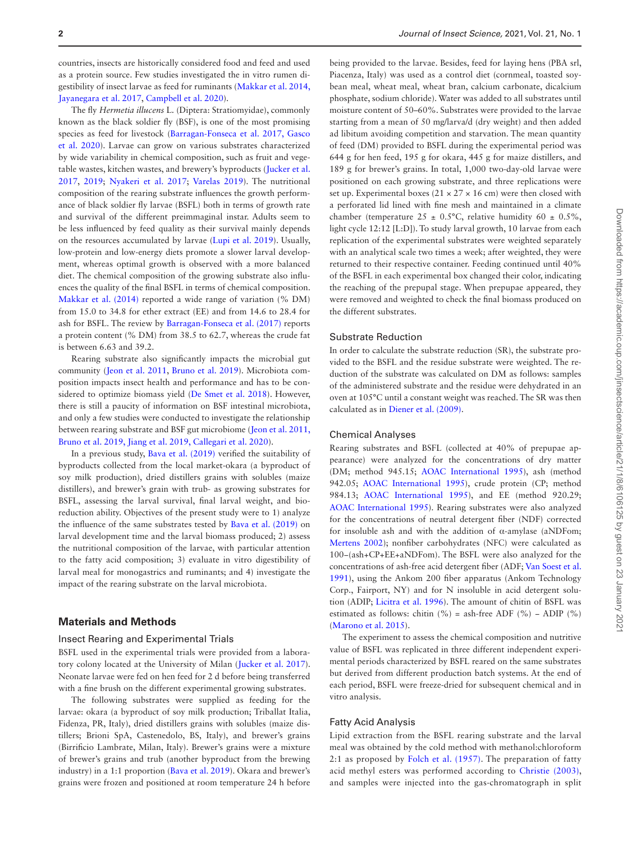countries, insects are historically considered food and feed and used as a protein source. Few studies investigated the in vitro rumen digestibility of insect larvae as feed for ruminants [\(Makkar et al. 2014,](#page-8-8) [Jayanegara et al. 2017](#page-8-9), [Campbell et al. 2020\)](#page-8-10).

The fly *Hermetia illucens* L. (Diptera: Stratiomyidae), commonly known as the black soldier fly (BSF), is one of the most promising species as feed for livestock [\(Barragan-Fonseca et al. 2017,](#page-8-1) [Gasco](#page-8-2) [et al. 2020](#page-8-2)). Larvae can grow on various substrates characterized by wide variability in chemical composition, such as fruit and vegetable wastes, kitchen wastes, and brewery's byproducts [\(Jucker et al.](#page-8-11) [2017](#page-8-11), [2019;](#page-8-12) [Nyakeri et al. 2017](#page-8-13); [Varelas 2019\)](#page-9-4). The nutritional composition of the rearing substrate influences the growth performance of black soldier fly larvae (BSFL) both in terms of growth rate and survival of the different preimmaginal instar. Adults seem to be less influenced by feed quality as their survival mainly depends on the resources accumulated by larvae ([Lupi et al. 2019\)](#page-8-14). Usually, low-protein and low-energy diets promote a slower larval development, whereas optimal growth is observed with a more balanced diet. The chemical composition of the growing substrate also influences the quality of the final BSFL in terms of chemical composition. [Makkar et al. \(2014\)](#page-8-8) reported a wide range of variation (% DM) from 15.0 to 34.8 for ether extract (EE) and from 14.6 to 28.4 for ash for BSFL. The review by [Barragan-Fonseca et al. \(2017\)](#page-8-1) reports a protein content (% DM) from 38.5 to 62.7, whereas the crude fat is between 6.63 and 39.2.

Rearing substrate also significantly impacts the microbial gut community ([Jeon et al. 2011,](#page-8-15) [Bruno et al. 2019\)](#page-8-16). Microbiota composition impacts insect health and performance and has to be considered to optimize biomass yield [\(De Smet et al. 2018](#page-8-17)). However, there is still a paucity of information on BSF intestinal microbiota, and only a few studies were conducted to investigate the relationship between rearing substrate and BSF gut microbiome ([Jeon et al. 2011,](#page-8-15) [Bruno et al. 2019,](#page-8-16) [Jiang et al. 2019,](#page-8-18) [Callegari et al. 2020](#page-8-19)).

In a previous study, [Bava et al. \(2019\)](#page-8-3) verified the suitability of byproducts collected from the local market-okara (a byproduct of soy milk production), dried distillers grains with solubles (maize distillers), and brewer's grain with trub- as growing substrates for BSFL, assessing the larval survival, final larval weight, and bioreduction ability. Objectives of the present study were to 1) analyze the influence of the same substrates tested by [Bava et al. \(2019\)](#page-8-3) on larval development time and the larval biomass produced; 2) assess the nutritional composition of the larvae, with particular attention to the fatty acid composition; 3) evaluate in vitro digestibility of larval meal for monogastrics and ruminants; and 4) investigate the impact of the rearing substrate on the larval microbiota.

# **Materials and Methods**

#### Insect Rearing and Experimental Trials

BSFL used in the experimental trials were provided from a laboratory colony located at the University of Milan [\(Jucker et al. 2017\)](#page-8-11). Neonate larvae were fed on hen feed for 2 d before being transferred with a fine brush on the different experimental growing substrates.

The following substrates were supplied as feeding for the larvae: okara (a byproduct of soy milk production; Triballat Italia, Fidenza, PR, Italy), dried distillers grains with solubles (maize distillers; Brioni SpA, Castenedolo, BS, Italy), and brewer's grains (Birrificio Lambrate, Milan, Italy). Brewer's grains were a mixture of brewer's grains and trub (another byproduct from the brewing industry) in a 1:1 proportion [\(Bava et al. 2019](#page-8-3)). Okara and brewer's grains were frozen and positioned at room temperature 24 h before

being provided to the larvae. Besides, feed for laying hens (PBA srl, Piacenza, Italy) was used as a control diet (cornmeal, toasted soybean meal, wheat meal, wheat bran, calcium carbonate, dicalcium phosphate, sodium chloride). Water was added to all substrates until moisture content of 50–60%. Substrates were provided to the larvae starting from a mean of 50 mg/larva/d (dry weight) and then added ad libitum avoiding competition and starvation. The mean quantity of feed (DM) provided to BSFL during the experimental period was 644 g for hen feed, 195 g for okara, 445 g for maize distillers, and 189 g for brewer's grains. In total, 1,000 two-day-old larvae were positioned on each growing substrate, and three replications were set up. Experimental boxes (21  $\times$  27  $\times$  16 cm) were then closed with a perforated lid lined with fine mesh and maintained in a climate chamber (temperature  $25 \pm 0.5^{\circ}$ C, relative humidity  $60 \pm 0.5\%$ , light cycle 12:12 [L:D]). To study larval growth, 10 larvae from each replication of the experimental substrates were weighted separately with an analytical scale two times a week; after weighted, they were returned to their respective container. Feeding continued until 40% of the BSFL in each experimental box changed their color, indicating the reaching of the prepupal stage. When prepupae appeared, they were removed and weighted to check the final biomass produced on the different substrates.

## Substrate Reduction

In order to calculate the substrate reduction (SR), the substrate provided to the BSFL and the residue substrate were weighted. The reduction of the substrate was calculated on DM as follows: samples of the administered substrate and the residue were dehydrated in an oven at 105°C until a constant weight was reached. The SR was then calculated as in [Diener et al. \(2009\).](#page-8-20)

#### Chemical Analyses

Rearing substrates and BSFL (collected at 40% of prepupae appearance) were analyzed for the concentrations of dry matter (DM; method 945.15; [AOAC International 1995](#page-7-0)), ash (method 942.05; [AOAC International 1995\)](#page-7-0), crude protein (CP; method 984.13; [AOAC International 1995\)](#page-7-0), and EE (method 920.29; [AOAC International 1995](#page-7-0)). Rearing substrates were also analyzed for the concentrations of neutral detergent fiber (NDF) corrected for insoluble ash and with the addition of α-amylase (aNDFom; [Mertens 2002\)](#page-8-21); nonfiber carbohydrates (NFC) were calculated as 100−(ash+CP+EE+aNDFom). The BSFL were also analyzed for the concentrations of ash-free acid detergent fiber (ADF; [Van Soest et al.](#page-9-5) [1991](#page-9-5)), using the Ankom 200 fiber apparatus (Ankom Technology Corp., Fairport, NY) and for N insoluble in acid detergent solution (ADIP; [Licitra et al. 1996](#page-8-22)). The amount of chitin of BSFL was estimated as follows: chitin (%) = ash-free ADF (%) − ADIP (%) ([Marono et al. 2015](#page-8-23)).

The experiment to assess the chemical composition and nutritive value of BSFL was replicated in three different independent experimental periods characterized by BSFL reared on the same substrates but derived from different production batch systems. At the end of each period, BSFL were freeze-dried for subsequent chemical and in vitro analysis.

### Fatty Acid Analysis

Lipid extraction from the BSFL rearing substrate and the larval meal was obtained by the cold method with methanol:chloroform 2:1 as proposed by [Folch et al. \(1957\).](#page-8-24) The preparation of fatty acid methyl esters was performed according to [Christie \(2003\)](#page-8-25), and samples were injected into the gas-chromatograph in split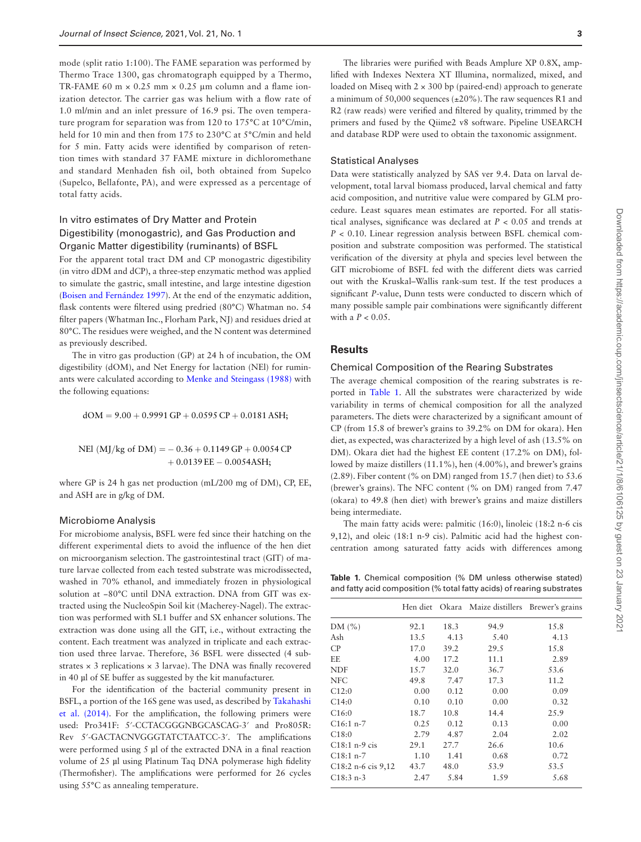mode (split ratio 1:100). The FAME separation was performed by Thermo Trace 1300, gas chromatograph equipped by a Thermo, TR-FAME 60 m  $\times$  0.25 mm  $\times$  0.25 µm column and a flame ionization detector. The carrier gas was helium with a flow rate of 1.0 ml/min and an inlet pressure of 16.9 psi. The oven temperature program for separation was from 120 to 175°C at 10°C/min, held for 10 min and then from 175 to 230°C at 5°C/min and held for 5 min. Fatty acids were identified by comparison of retention times with standard 37 FAME mixture in dichloromethane and standard Menhaden fish oil, both obtained from Supelco (Supelco, Bellafonte, PA), and were expressed as a percentage of total fatty acids.

# In vitro estimates of Dry Matter and Protein Digestibility (monogastric), and Gas Production and Organic Matter digestibility (ruminants) of BSFL

For the apparent total tract DM and CP monogastric digestibility (in vitro dDM and dCP), a three-step enzymatic method was applied to simulate the gastric, small intestine, and large intestine digestion ([Boisen and Fernández 1997\)](#page-8-26). At the end of the enzymatic addition, flask contents were filtered using predried (80°C) Whatman no. 54 filter papers (Whatman Inc., Florham Park, NJ) and residues dried at 80°C. The residues were weighed, and the N content was determined as previously described.

The in vitro gas production (GP) at 24 h of incubation, the OM digestibility (dOM), and Net Energy for lactation (NEl) for ruminants were calculated according to [Menke and Steingass \(1988\)](#page-8-27) with the following equations:

 $dOM = 9.00 + 0.9991$  GP + 0.0595 CP + 0.0181 ASH;

NEl (MJ/kg of DM) =  $-0.36 + 0.1149$  GP + 0.0054 CP  $+0.0139$  EE  $-0.0054$ ASH;

where GP is 24 h gas net production (mL/200 mg of DM), CP, EE, and ASH are in g/kg of DM.

#### Microbiome Analysis

For microbiome analysis, BSFL were fed since their hatching on the different experimental diets to avoid the influence of the hen diet on microorganism selection. The gastrointestinal tract (GIT) of mature larvae collected from each tested substrate was microdissected, washed in 70% ethanol, and immediately frozen in physiological solution at −80°C until DNA extraction. DNA from GIT was extracted using the NucleoSpin Soil kit (Macherey-Nagel). The extraction was performed with SL1 buffer and SX enhancer solutions. The extraction was done using all the GIT, i.e., without extracting the content. Each treatment was analyzed in triplicate and each extraction used three larvae. Therefore, 36 BSFL were dissected (4 substrates  $\times$  3 replications  $\times$  3 larvae). The DNA was finally recovered in 40 µl of SE buffer as suggested by the kit manufacturer.

For the identification of the bacterial community present in BSFL, a portion of the 16S gene was used, as described by [Takahashi](#page-9-6) [et al. \(2014\)](#page-9-6). For the amplification, the following primers were used: Pro341F: 5′-CCTACGGGNBGCASCAG-3′ and Pro805R: Rev 5′-GACTACNVGGGTATCTAATCC-3′. The amplifications were performed using 5 µl of the extracted DNA in a final reaction volume of 25 µl using Platinum Taq DNA polymerase high fidelity (Thermofisher). The amplifications were performed for 26 cycles using 55°C as annealing temperature.

The libraries were purified with Beads Amplure XP 0.8X, amplified with Indexes Nextera XT Illumina, normalized, mixed, and loaded on Miseq with  $2 \times 300$  bp (paired-end) approach to generate a minimum of 50,000 sequences  $(\pm 20\%)$ . The raw sequences R1 and R2 (raw reads) were verified and filtered by quality, trimmed by the primers and fused by the Qiime2 v8 software. Pipeline USEARCH and database RDP were used to obtain the taxonomic assignment.

#### Statistical Analyses

Data were statistically analyzed by SAS ver 9.4. Data on larval development, total larval biomass produced, larval chemical and fatty acid composition, and nutritive value were compared by GLM procedure. Least squares mean estimates are reported. For all statistical analyses, significance was declared at *P* < 0.05 and trends at *P* < 0.10. Linear regression analysis between BSFL chemical composition and substrate composition was performed. The statistical verification of the diversity at phyla and species level between the GIT microbiome of BSFL fed with the different diets was carried out with the Kruskal–Wallis rank-sum test. If the test produces a significant *P*-value, Dunn tests were conducted to discern which of many possible sample pair combinations were significantly different with a *P* < 0.05.

## **Results**

#### Chemical Composition of the Rearing Substrates

The average chemical composition of the rearing substrates is reported in [Table 1.](#page-2-0) All the substrates were characterized by wide variability in terms of chemical composition for all the analyzed parameters. The diets were characterized by a significant amount of CP (from 15.8 of brewer's grains to 39.2% on DM for okara). Hen diet, as expected, was characterized by a high level of ash (13.5% on DM). Okara diet had the highest EE content (17.2% on DM), followed by maize distillers (11.1%), hen (4.00%), and brewer's grains (2.89). Fiber content (% on DM) ranged from 15.7 (hen diet) to 53.6 (brewer's grains). The NFC content (% on DM) ranged from 7.47 (okara) to 49.8 (hen diet) with brewer's grains and maize distillers being intermediate.

The main fatty acids were: palmitic (16:0), linoleic (18:2 n-6 cis 9,12), and oleic (18:1 n-9 cis). Palmitic acid had the highest concentration among saturated fatty acids with differences among

<span id="page-2-0"></span>**Table 1.** Chemical composition (% DM unless otherwise stated) and fatty acid composition (% total fatty acids) of rearing substrates

|                                   |      |      | Hen diet Okara Maize distillers Brewer's grains |      |
|-----------------------------------|------|------|-------------------------------------------------|------|
| DM(%)                             | 92.1 | 18.3 | 94.9                                            | 15.8 |
| Ash                               | 13.5 | 4.13 | 5.40                                            | 4.13 |
| CP                                | 17.0 | 39.2 | 29.5                                            | 15.8 |
| EE.                               | 4.00 | 17.2 | 11.1                                            | 2.89 |
| <b>NDF</b>                        | 15.7 | 32.0 | 36.7                                            | 53.6 |
| <b>NFC</b>                        | 49.8 | 7.47 | 17.3                                            | 11.2 |
| C12:0                             | 0.00 | 0.12 | 0.00                                            | 0.09 |
| C14:0                             | 0.10 | 0.10 | 0.00                                            | 0.32 |
| C16:0                             | 18.7 | 10.8 | 14.4                                            | 25.9 |
| $C16:1 n-7$                       | 0.25 | 0.12 | 0.13                                            | 0.00 |
| C18:0                             | 2.79 | 4.87 | 2.04                                            | 2.02 |
| $C18:1$ n-9 cis                   | 29.1 | 27.7 | 26.6                                            | 10.6 |
| $C18:1 n-7$                       | 1.10 | 1.41 | 0.68                                            | 0.72 |
| C <sub>18</sub> :2 n-6 cis $9,12$ | 43.7 | 48.0 | 53.9                                            | 53.5 |
| $C18:3n-3$                        | 2.47 | 5.84 | 1.59                                            | 5.68 |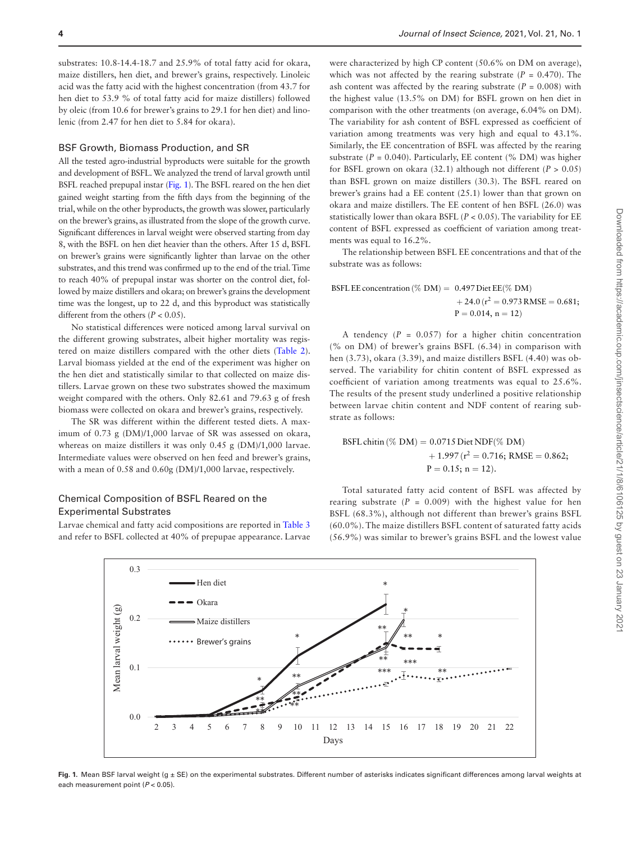substrates: 10.8-14.4-18.7 and 25.9% of total fatty acid for okara, maize distillers, hen diet, and brewer's grains, respectively. Linoleic acid was the fatty acid with the highest concentration (from 43.7 for hen diet to 53.9 % of total fatty acid for maize distillers) followed by oleic (from 10.6 for brewer's grains to 29.1 for hen diet) and linolenic (from 2.47 for hen diet to 5.84 for okara).

#### BSF Growth, Biomass Production, and SR

All the tested agro-industrial byproducts were suitable for the growth and development of BSFL. We analyzed the trend of larval growth until BSFL reached prepupal instar [\(Fig. 1](#page-3-0)). The BSFL reared on the hen diet gained weight starting from the fifth days from the beginning of the trial, while on the other byproducts, the growth was slower, particularly on the brewer's grains, as illustrated from the slope of the growth curve. Significant differences in larval weight were observed starting from day 8, with the BSFL on hen diet heavier than the others. After 15 d, BSFL on brewer's grains were significantly lighter than larvae on the other substrates, and this trend was confirmed up to the end of the trial. Time to reach 40% of prepupal instar was shorter on the control diet, followed by maize distillers and okara; on brewer's grains the development time was the longest, up to 22 d, and this byproduct was statistically different from the others  $(P < 0.05)$ .

No statistical differences were noticed among larval survival on the different growing substrates, albeit higher mortality was registered on maize distillers compared with the other diets ([Table 2\)](#page-4-0). Larval biomass yielded at the end of the experiment was higher on the hen diet and statistically similar to that collected on maize distillers. Larvae grown on these two substrates showed the maximum weight compared with the others. Only 82.61 and 79.63 g of fresh biomass were collected on okara and brewer's grains, respectively.

The SR was different within the different tested diets. A maximum of 0.73 g (DM)/1,000 larvae of SR was assessed on okara, whereas on maize distillers it was only 0.45 g (DM)/1,000 larvae. Intermediate values were observed on hen feed and brewer's grains, with a mean of 0.58 and 0.60g (DM)/1,000 larvae, respectively.

## Chemical Composition of BSFL Reared on the Experimental Substrates

Larvae chemical and fatty acid compositions are reported in [Table 3](#page-4-1) and refer to BSFL collected at 40% of prepupae appearance. Larvae were characterized by high CP content (50.6% on DM on average), which was not affected by the rearing substrate  $(P = 0.470)$ . The ash content was affected by the rearing substrate  $(P = 0.008)$  with the highest value (13.5% on DM) for BSFL grown on hen diet in comparison with the other treatments (on average, 6.04% on DM). The variability for ash content of BSFL expressed as coefficient of variation among treatments was very high and equal to 43.1%. Similarly, the EE concentration of BSFL was affected by the rearing substrate  $(P = 0.040)$ . Particularly, EE content  $(\% \text{ DM})$  was higher for BSFL grown on okara (32.1) although not different ( $P > 0.05$ ) than BSFL grown on maize distillers (30.3). The BSFL reared on brewer's grains had a EE content (25.1) lower than that grown on okara and maize distillers. The EE content of hen BSFL (26.0) was statistically lower than okara BSFL (*P* < 0.05). The variability for EE content of BSFL expressed as coefficient of variation among treatments was equal to 16.2%.

The relationship between BSFL EE concentrations and that of the substrate was as follows:

BSFL EE concentration (% DM) =  $0.497$  Diet EE(% DM)  $+ 24.0$  ( $r^2 = 0.973$  RMSE = 0.681;  $P = 0.014$ ,  $n = 12$ )

A tendency  $(P = 0.057)$  for a higher chitin concentration (% on DM) of brewer's grains BSFL (6.34) in comparison with hen (3.73), okara (3.39), and maize distillers BSFL (4.40) was observed. The variability for chitin content of BSFL expressed as coefficient of variation among treatments was equal to 25.6%. The results of the present study underlined a positive relationship between larvae chitin content and NDF content of rearing substrate as follows:

BSFL chitin (% DM) =  $0.0715$  Diet NDF(% DM)  $+ 1.997$  ( $r^2 = 0.716$ ; RMSE = 0.862;  $P = 0.15$ ; n = 12).

Total saturated fatty acid content of BSFL was affected by rearing substrate  $(P = 0.009)$  with the highest value for hen BSFL (68.3%), although not different than brewer's grains BSFL (60.0%). The maize distillers BSFL content of saturated fatty acids (56.9%) was similar to brewer's grains BSFL and the lowest value



<span id="page-3-0"></span>Fig. 1. Mean BSF larval weight (g ± SE) on the experimental substrates. Different number of asterisks indicates significant differences among larval weights at each measurement point (*P* < 0.05).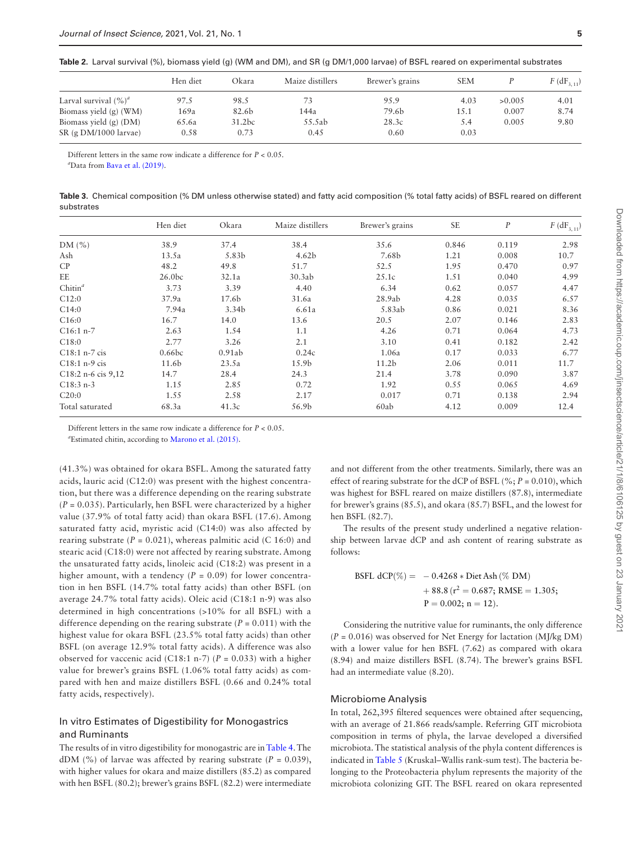<span id="page-4-0"></span>

|  |  |  |  |  |  |  |  |  |  |  |  |  |  |  |  |  |  | <b>Table 2</b> .  Larval survival (%), biomass yield (g) (WM and DM), and SR (g DM/1,000 larvae) of BSFL reared on experimental substrates |
|--|--|--|--|--|--|--|--|--|--|--|--|--|--|--|--|--|--|--------------------------------------------------------------------------------------------------------------------------------------------|
|--|--|--|--|--|--|--|--|--|--|--|--|--|--|--|--|--|--|--------------------------------------------------------------------------------------------------------------------------------------------|

|                                                       | Hen diet      | Okara                      | Maize distillers | Brewer's grains | <b>SEM</b>  |        | $F$ (dF <sub>3, 11</sub> ) |
|-------------------------------------------------------|---------------|----------------------------|------------------|-----------------|-------------|--------|----------------------------|
| Larval survival $(\%)^a$                              | 97.5          | 98.5                       | 73               | 95.9            | 4.03        | >0.005 | 4.01                       |
| Biomass yield $(g)$ (WM)                              | 169a          | 82.6b                      | 144a             | 79.6b           | 15.1        | 0.007  | 8.74                       |
| Biomass yield $(g)$ (DM)<br>$SR$ (g $DM/1000$ larvae) | 65.6a<br>0.58 | 31.2 <sub>bc</sub><br>0.73 | 55.5ab<br>0.45   | 28.3c<br>0.60   | 5.4<br>0.03 | 0.005  | 9.80                       |

Different letters in the same row indicate a difference for *P* < 0.05.

*a* Data from [Bava et al. \(2019\)](#page-8-3).

<span id="page-4-1"></span>**Table 3.** Chemical composition (% DM unless otherwise stated) and fatty acid composition (% total fatty acids) of BSFL reared on different substrates

|                        | Hen diet           | Okara  | Maize distillers  | Brewer's grains   | <b>SE</b> | $\boldsymbol{P}$ | $F$ (dF <sub>3, 11</sub> ) |
|------------------------|--------------------|--------|-------------------|-------------------|-----------|------------------|----------------------------|
| DM $(\% )$             | 38.9               | 37.4   | 38.4              | 35.6              | 0.846     | 0.119            | 2.98                       |
| Ash                    | 13.5a              | 5.83b  | 4.62 <sub>b</sub> | 7.68b             | 1.21      | 0.008            | 10.7                       |
| CP                     | 48.2               | 49.8   | 51.7              | 52.5              | 1.95      | 0.470            | 0.97                       |
| EE                     | 26.0 <sub>bc</sub> | 32.1a  | 30.3ab            | 25.1c             | 1.51      | 0.040            | 4.99                       |
| Chitin <sup>a</sup>    | 3.73               | 3.39   | 4.40              | 6.34              | 0.62      | 0.057            | 4.47                       |
| C12:0                  | 37.9a              | 17.6b  | 31.6a             | 28.9ab            | 4.28      | 0.035            | 6.57                       |
| C14:0                  | 7.94a              | 3.34b  | 6.61a             | 5.83ab            | 0.86      | 0.021            | 8.36                       |
| C16:0                  | 16.7               | 14.0   | 13.6              | 20.5              | 2.07      | 0.146            | 2.83                       |
| $C16:1 n-7$            | 2.63               | 1.54   | 1.1               | 4.26              | 0.71      | 0.064            | 4.73                       |
| C18:0                  | 2.77               | 3.26   | 2.1               | 3.10              | 0.41      | 0.182            | 2.42                       |
| $C18:1$ n-7 cis        | 0.66bc             | 0.91ab | 0.24c             | 1.06a             | 0.17      | 0.033            | 6.77                       |
| $C18:1 n-9$ cis        | 11.6b              | 23.5a  | 15.9 <sub>b</sub> | 11.2 <sub>b</sub> | 2.06      | 0.011            | 11.7                       |
| $C18:2 n-6$ cis $9,12$ | 14.7               | 28.4   | 24.3              | 21.4              | 3.78      | 0.090            | 3.87                       |
| $C18:3 n-3$            | 1.15               | 2.85   | 0.72              | 1.92              | 0.55      | 0.065            | 4.69                       |
| C20:0                  | 1.55               | 2.58   | 2.17              | 0.017             | 0.71      | 0.138            | 2.94                       |
| Total saturated        | 68.3a              | 41.3c  | 56.9b             | 60ab              | 4.12      | 0.009            | 12.4                       |

Different letters in the same row indicate a difference for *P* < 0.05.

*a* Estimated chitin, according to [Marono et al. \(2015\).](#page-8-23)

(41.3%) was obtained for okara BSFL. Among the saturated fatty acids, lauric acid (C12:0) was present with the highest concentration, but there was a difference depending on the rearing substrate (*P* = 0.035). Particularly, hen BSFL were characterized by a higher value (37.9% of total fatty acid) than okara BSFL (17.6). Among saturated fatty acid, myristic acid (C14:0) was also affected by rearing substrate  $(P = 0.021)$ , whereas palmitic acid  $(C 16:0)$  and stearic acid (C18:0) were not affected by rearing substrate. Among the unsaturated fatty acids, linoleic acid (C18:2) was present in a higher amount, with a tendency  $(P = 0.09)$  for lower concentration in hen BSFL (14.7% total fatty acids) than other BSFL (on average 24.7% total fatty acids). Oleic acid (C18:1 n-9) was also determined in high concentrations (>10% for all BSFL) with a difference depending on the rearing substrate  $(P = 0.011)$  with the highest value for okara BSFL (23.5% total fatty acids) than other BSFL (on average 12.9% total fatty acids). A difference was also observed for vaccenic acid (C18:1 n-7) (*P* = 0.033) with a higher value for brewer's grains BSFL (1.06% total fatty acids) as compared with hen and maize distillers BSFL (0.66 and 0.24% total fatty acids, respectively).

## In vitro Estimates of Digestibility for Monogastrics and Ruminants

The results of in vitro digestibility for monogastric are in [Table 4](#page-5-0). The dDM (%) of larvae was affected by rearing substrate ( $P = 0.039$ ), with higher values for okara and maize distillers (85.2) as compared with hen BSFL (80.2); brewer's grains BSFL (82.2) were intermediate

and not different from the other treatments. Similarly, there was an effect of rearing substrate for the dCP of BSFL (%;  $P = 0.010$ ), which was highest for BSFL reared on maize distillers (87.8), intermediate for brewer's grains (85.5), and okara (85.7) BSFL, and the lowest for hen BSFL (82.7).

The results of the present study underlined a negative relationship between larvae dCP and ash content of rearing substrate as follows:

BSEL dCP(%) = 
$$
-0.4268 * \text{Dict Ash} (\%
$$
 DM)

\n $+ 88.8 \, (r^2 = 0.687; \text{RMSE} = 1.305; \text{P} = 0.002; \text{ n} = 12).$ 

Considering the nutritive value for ruminants, the only difference (*P* = 0.016) was observed for Net Energy for lactation (MJ/kg DM) with a lower value for hen BSFL (7.62) as compared with okara (8.94) and maize distillers BSFL (8.74). The brewer's grains BSFL had an intermediate value (8.20).

## Microbiome Analysis

In total, 262,395 filtered sequences were obtained after sequencing, with an average of 21.866 reads/sample. Referring GIT microbiota composition in terms of phyla, the larvae developed a diversified microbiota. The statistical analysis of the phyla content differences is indicated in [Table 5](#page-5-1) (Kruskal–Wallis rank-sum test). The bacteria belonging to the Proteobacteria phylum represents the majority of the microbiota colonizing GIT. The BSFL reared on okara represented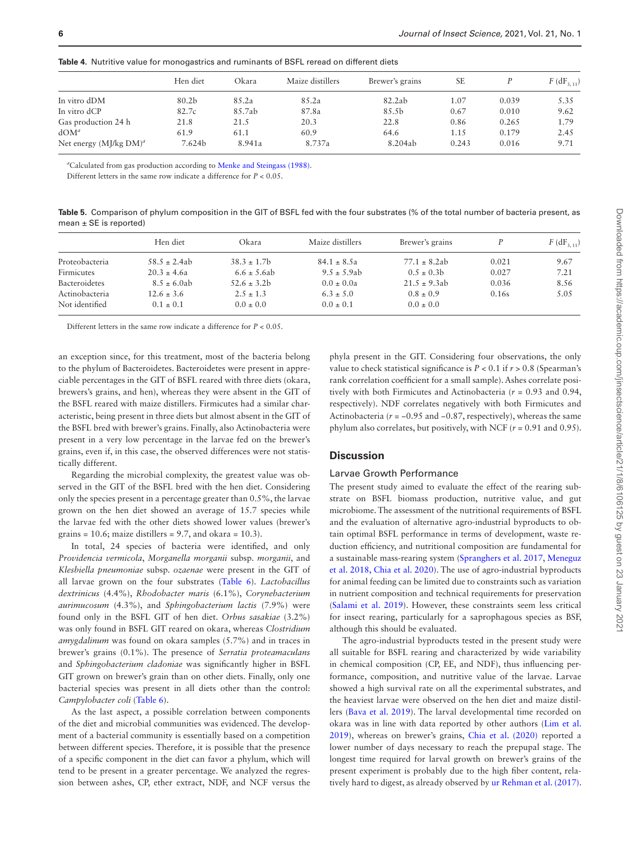|                           | Hen diet | Okara  | Maize distillers | Brewer's grains | <b>SE</b> |       | $F(\text{dF}_{3,11})$ |
|---------------------------|----------|--------|------------------|-----------------|-----------|-------|-----------------------|
| In vitro dDM              | 80.2b    | 85.2a  | 85.2a            | 82.2ab          | 1.07      | 0.039 | 5.35                  |
| In vitro dCP              | 82.7c    | 85.7ab | 87.8a            | 85.5b           | 0.67      | 0.010 | 9.62                  |
| Gas production 24 h       | 21.8     | 21.5   | 20.3             | 22.8            | 0.86      | 0.265 | 1.79                  |
| $d$ OM <sup>a</sup>       | 61.9     | 61.1   | 60.9             | 64.6            | 1.15      | 0.179 | 2.45                  |
| Net energy $(MJ/kg DM)^a$ | 7.624b   | 8.941a | 8.737a           | 8.204ab         | 0.243     | 0.016 | 9.71                  |

<span id="page-5-0"></span>**Table 4.** Nutritive value for monogastrics and ruminants of BSFL reread on different diets

*a* Calculated from gas production according to [Menke and Steingass \(1988\).](#page-8-27)

Different letters in the same row indicate a difference for *P* < 0.05.

<span id="page-5-1"></span>**Table 5.** Comparison of phylum composition in the GIT of BSFL fed with the four substrates (% of the total number of bacteria present, as mean ± SE is reported)

|                | Hen diet         | Okara            | Maize distillers | Brewer's grains  |       | $F(\text{dF}_{3,11})$ |
|----------------|------------------|------------------|------------------|------------------|-------|-----------------------|
| Proteobacteria | $58.5 \pm 2.4ab$ | $38.3 \pm 1.7$   | $84.1 \pm 8.5a$  | $77.1 \pm 8.2ab$ | 0.021 | 9.67                  |
| Firmicutes     | $20.3 \pm 4.6a$  | $6.6 \pm 5.6$ ab | $9.5 \pm 5.9$ ab | $0.5 \pm 0.3$    | 0.027 | 7.21                  |
| Bacteroidetes  | $8.5 \pm 6.0$ ab | $52.6 \pm 3.2b$  | $0.0 \pm 0.0a$   | $21.5 \pm 9.3ab$ | 0.036 | 8.56                  |
| Actinobacteria | $12.6 \pm 3.6$   | $2.5 \pm 1.3$    | $6.3 \pm 5.0$    | $0.8 \pm 0.9$    | 0.16s | 5.05                  |
| Not identified | $0.1 \pm 0.1$    | $0.0 \pm 0.0$    | $0.0 \pm 0.1$    | $0.0 \pm 0.0$    |       |                       |

Different letters in the same row indicate a difference for *P* < 0.05.

an exception since, for this treatment, most of the bacteria belong to the phylum of Bacteroidetes. Bacteroidetes were present in appreciable percentages in the GIT of BSFL reared with three diets (okara, brewers's grains, and hen), whereas they were absent in the GIT of the BSFL reared with maize distillers. Firmicutes had a similar characteristic, being present in three diets but almost absent in the GIT of the BSFL bred with brewer's grains. Finally, also Actinobacteria were present in a very low percentage in the larvae fed on the brewer's grains, even if, in this case, the observed differences were not statistically different.

Regarding the microbial complexity, the greatest value was observed in the GIT of the BSFL bred with the hen diet. Considering only the species present in a percentage greater than 0.5%, the larvae grown on the hen diet showed an average of 15.7 species while the larvae fed with the other diets showed lower values (brewer's grains = 10.6; maize distillers = 9.7, and okara = 10.3).

In total, 24 species of bacteria were identified, and only *Providencia vermicola*, *Morganella morganii* subsp. *morganii*, and *Klesbiella pneumoniae* subsp*. ozaenae* were present in the GIT of all larvae grown on the four substrates ([Table 6](#page-6-0)). *Lactobacillus dextrinicus* (4.4%), *Rhodobacter maris* (6.1%), *Corynebacterium aurimucosum* (4.3%), and *Sphingobacterium lactis* (7.9%) were found only in the BSFL GIT of hen diet. *Orbus sasakiae* (3.2%) was only found in BSFL GIT reared on okara, whereas *Clostridium amygdalinum* was found on okara samples (5.7%) and in traces in brewer's grains (0.1%). The presence of *Serratia proteamaculans*  and *Sphingobacterium cladoniae* was significantly higher in BSFL GIT grown on brewer's grain than on other diets. Finally, only one bacterial species was present in all diets other than the control: *Campylobacter coli* [\(Table 6](#page-6-0)).

As the last aspect, a possible correlation between components of the diet and microbial communities was evidenced. The development of a bacterial community is essentially based on a competition between different species. Therefore, it is possible that the presence of a specific component in the diet can favor a phylum, which will tend to be present in a greater percentage. We analyzed the regression between ashes, CP, ether extract, NDF, and NCF versus the

phyla present in the GIT. Considering four observations, the only value to check statistical significance is  $P < 0.1$  if  $r > 0.8$  (Spearman's rank correlation coefficient for a small sample). Ashes correlate positively with both Firmicutes and Actinobacteria (*r* = 0.93 and 0.94, respectively). NDF correlates negatively with both Firmicutes and Actinobacteria (*r* = −0.95 and −0.87, respectively), whereas the same phylum also correlates, but positively, with NCF (*r* = 0.91 and 0.95).

## **Discussion**

#### Larvae Growth Performance

The present study aimed to evaluate the effect of the rearing substrate on BSFL biomass production, nutritive value, and gut microbiome. The assessment of the nutritional requirements of BSFL and the evaluation of alternative agro-industrial byproducts to obtain optimal BSFL performance in terms of development, waste reduction efficiency, and nutritional composition are fundamental for a sustainable mass-rearing system [\(Spranghers et al. 2017](#page-9-7), [Meneguz](#page-8-28) [et al. 2018,](#page-8-28) [Chia et al. 2020\)](#page-8-29). The use of agro-industrial byproducts for animal feeding can be limited due to constraints such as variation in nutrient composition and technical requirements for preservation ([Salami et al. 2019\)](#page-9-8). However, these constraints seem less critical for insect rearing, particularly for a saprophagous species as BSF, although this should be evaluated.

The agro-industrial byproducts tested in the present study were all suitable for BSFL rearing and characterized by wide variability in chemical composition (CP, EE, and NDF), thus influencing performance, composition, and nutritive value of the larvae. Larvae showed a high survival rate on all the experimental substrates, and the heaviest larvae were observed on the hen diet and maize distillers ([Bava et al. 2019](#page-8-3)). The larval developmental time recorded on okara was in line with data reported by other authors ([Lim et al.](#page-8-30) [2019](#page-8-30)), whereas on brewer's grains, [Chia et al. \(2020\)](#page-8-29) reported a lower number of days necessary to reach the prepupal stage. The longest time required for larval growth on brewer's grains of the present experiment is probably due to the high fiber content, relatively hard to digest, as already observed by [ur Rehman et al. \(2017\)](#page-9-9).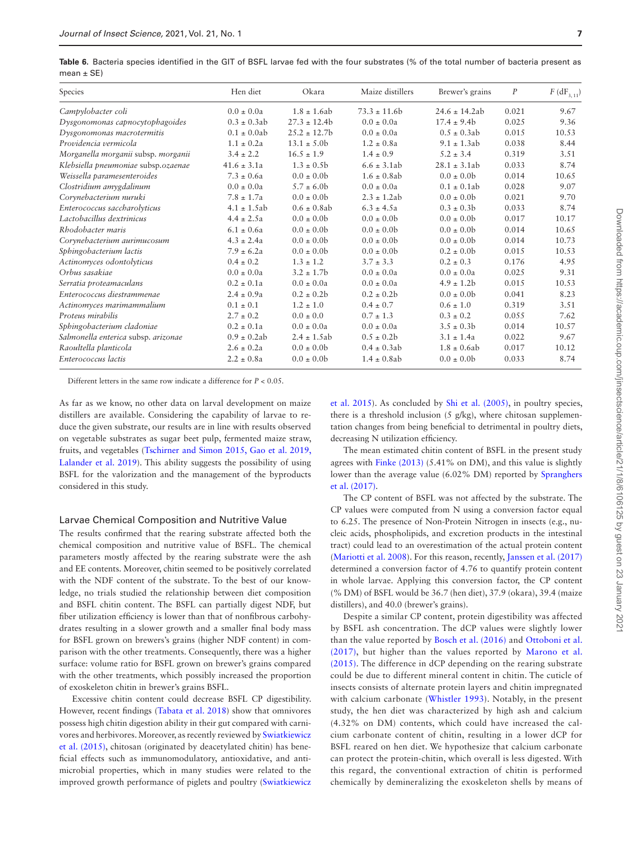<span id="page-6-0"></span>**Table 6.** Bacteria species identified in the GIT of BSFL larvae fed with the four substrates (% of the total number of bacteria present as  $mean + SF$ 

| Species                             | Hen diet         | Okara            | Maize distillers | Brewer's grains    | P     | $F$ (dF <sub>3, 11</sub> ) |
|-------------------------------------|------------------|------------------|------------------|--------------------|-------|----------------------------|
| Campylobacter coli                  | $0.0 \pm 0.0a$   | $1.8 \pm 1.6$ ab | $73.3 \pm 11.6b$ | $24.6 \pm 14.2$ ab | 0.021 | 9.67                       |
| Dysgonomonas capnocytophagoides     | $0.3 \pm 0.3$ ab | $27.3 \pm 12.4b$ | $0.0 \pm 0.0a$   | $17.4 \pm 9.4b$    | 0.025 | 9.36                       |
| Dysgonomonas macrotermitis          | $0.1 \pm 0.0$ ab | $25.2 \pm 12.7$  | $0.0 \pm 0.0a$   | $0.5 \pm 0.3ab$    | 0.015 | 10.53                      |
| Providencia vermicola               | $1.1 \pm 0.2a$   | $13.1 \pm 5.0$   | $1.2 \pm 0.8a$   | $9.1 \pm 1.3$ ab   | 0.038 | 8.44                       |
| Morganella morganii subsp. morganii | $3.4 \pm 2.2$    | $16.5 \pm 1.9$   | $1.4 \pm 0.9$    | $5.2 \pm 3.4$      | 0.319 | 3.51                       |
| Klebsiella pneumoniae subsp.ozaenae | $41.6 \pm 3.1a$  | $1.3 \pm 0.5b$   | $6.6 \pm 3.1$ ab | $28.1 \pm 3.1ab$   | 0.033 | 8.74                       |
| Weissella paramesenteroides         | $7.3 \pm 0.6a$   | $0.0 \pm 0.0$    | $1.6 \pm 0.8$ ab | $0.0 \pm 0.0$      | 0.014 | 10.65                      |
| Clostridium amygdalinum             | $0.0 \pm 0.0a$   | $5.7 \pm 6.0$    | $0.0 \pm 0.0a$   | $0.1 \pm 0.1$ ab   | 0.028 | 9.07                       |
| Corynebacterium nuruki              | $7.8 \pm 1.7a$   | $0.0 \pm 0.0$    | $2.3 \pm 1.2ab$  | $0.0 \pm 0.0$      | 0.021 | 9.70                       |
| Enterococcus saccharolyticus        | $4.1 \pm 1.5$ ab | $0.6 \pm 0.8$ ab | $6.3 \pm 4.5a$   | $0.3 \pm 0.3 b$    | 0.033 | 8.74                       |
| Lactobacillus dextrinicus           | $4.4 \pm 2.5a$   | $0.0 \pm 0.0$    | $0.0 \pm 0.0$    | $0.0 \pm 0.0$      | 0.017 | 10.17                      |
| Rhodobacter maris                   | $6.1 \pm 0.6a$   | $0.0 \pm 0.0$    | $0.0 \pm 0.0$    | $0.0 \pm 0.0$      | 0.014 | 10.65                      |
| Corynebacterium aurimucosum         | $4.3 \pm 2.4a$   | $0.0 \pm 0.0$    | $0.0 \pm 0.0$    | $0.0 \pm 0.0$      | 0.014 | 10.73                      |
| Sphingobacterium lactis             | $7.9 \pm 6.2a$   | $0.0 \pm 0.0$    | $0.0 \pm 0.0$    | $0.2 \pm 0.0$      | 0.015 | 10.53                      |
| Actinomyces odontolyticus           | $0.4 \pm 0.2$    | $1.3 \pm 1.2$    | $3.7 \pm 3.3$    | $0.2 \pm 0.3$      | 0.176 | 4.95                       |
| Orbus sasakiae                      | $0.0 \pm 0.0a$   | $3.2 \pm 1.7$    | $0.0 \pm 0.0a$   | $0.0 \pm 0.0a$     | 0.025 | 9.31                       |
| Serratia proteamaculans             | $0.2 \pm 0.1a$   | $0.0 \pm 0.0a$   | $0.0 \pm 0.0a$   | $4.9 \pm 1.2b$     | 0.015 | 10.53                      |
| Enterococcus diestrammenae          | $2.4 \pm 0.9a$   | $0.2 \pm 0.2b$   | $0.2 \pm 0.2b$   | $0.0 \pm 0.0$      | 0.041 | 8.23                       |
| Actinomyces marimammalium           | $0.1 \pm 0.1$    | $1.2 \pm 1.0$    | $0.4 \pm 0.7$    | $0.6 \pm 1.0$      | 0.319 | 3.51                       |
| Proteus mirabilis                   | $2.7 \pm 0.2$    | $0.0 \pm 0.0$    | $0.7 \pm 1.3$    | $0.3 \pm 0.2$      | 0.055 | 7.62                       |
| Sphingobacterium cladoniae          | $0.2 \pm 0.1a$   | $0.0 \pm 0.0a$   | $0.0 \pm 0.0a$   | $3.5 \pm 0.3b$     | 0.014 | 10.57                      |
| Salmonella enterica subsp. arizonae | $0.9 \pm 0.2ab$  | $2.4 \pm 1.5ab$  | $0.5 \pm 0.2b$   | $3.1 \pm 1.4a$     | 0.022 | 9.67                       |
| Raoultella planticola               | $2.6 \pm 0.2a$   | $0.0 \pm 0.0$    | $0.4 \pm 0.3$ ab | $1.8 \pm 0.6ab$    | 0.017 | 10.12                      |
| Enterococcus lactis                 | $2.2 \pm 0.8a$   | $0.0 \pm 0.0$    | $1.4 \pm 0.8$ ab | $0.0 \pm 0.0$      | 0.033 | 8.74                       |

Different letters in the same row indicate a difference for *P* < 0.05.

As far as we know, no other data on larval development on maize distillers are available. Considering the capability of larvae to reduce the given substrate, our results are in line with results observed on vegetable substrates as sugar beet pulp, fermented maize straw, fruits, and vegetables [\(Tschirner and Simon 2015,](#page-9-10) [Gao et al. 2019,](#page-8-31) [Lalander et al. 2019](#page-8-32)). This ability suggests the possibility of using BSFL for the valorization and the management of the byproducts considered in this study.

#### Larvae Chemical Composition and Nutritive Value

The results confirmed that the rearing substrate affected both the chemical composition and nutritive value of BSFL. The chemical parameters mostly affected by the rearing substrate were the ash and EE contents. Moreover, chitin seemed to be positively correlated with the NDF content of the substrate. To the best of our knowledge, no trials studied the relationship between diet composition and BSFL chitin content. The BSFL can partially digest NDF, but fiber utilization efficiency is lower than that of nonfibrous carbohydrates resulting in a slower growth and a smaller final body mass for BSFL grown on brewers's grains (higher NDF content) in comparison with the other treatments. Consequently, there was a higher surface: volume ratio for BSFL grown on brewer's grains compared with the other treatments, which possibly increased the proportion of exoskeleton chitin in brewer's grains BSFL.

Excessive chitin content could decrease BSFL CP digestibility. However, recent findings [\(Tabata et al. 2018](#page-9-11)) show that omnivores possess high chitin digestion ability in their gut compared with carnivores and herbivores. Moreover, as recently reviewed by [Swiatkiewicz](#page-9-12) [et al. \(2015\),](#page-9-12) chitosan (originated by deacetylated chitin) has beneficial effects such as immunomodulatory, antioxidative, and antimicrobial properties, which in many studies were related to the improved growth performance of piglets and poultry [\(Swiatkiewicz](#page-9-12)

[et al. 2015](#page-9-12)). As concluded by [Shi et al. \(2005\)](#page-9-13), in poultry species, there is a threshold inclusion (5 g/kg), where chitosan supplementation changes from being beneficial to detrimental in poultry diets, decreasing N utilization efficiency.

The mean estimated chitin content of BSFL in the present study agrees with [Finke \(2013\)](#page-8-33) (5.41% on DM), and this value is slightly lower than the average value (6.02% DM) reported by [Spranghers](#page-9-7) [et al. \(2017\)](#page-9-7).

The CP content of BSFL was not affected by the substrate. The CP values were computed from N using a conversion factor equal to 6.25. The presence of Non-Protein Nitrogen in insects (e.g., nucleic acids, phospholipids, and excretion products in the intestinal tract) could lead to an overestimation of the actual protein content ([Mariotti et al. 2008\)](#page-8-34). For this reason, recently, [Janssen et al. \(2017\)](#page-8-35) determined a conversion factor of 4.76 to quantify protein content in whole larvae. Applying this conversion factor, the CP content (% DM) of BSFL would be 36.7 (hen diet), 37.9 (okara), 39.4 (maize distillers), and 40.0 (brewer's grains).

Despite a similar CP content, protein digestibility was affected by BSFL ash concentration. The dCP values were slightly lower than the value reported by [Bosch et al. \(2016\)](#page-8-36) and [Ottoboni et al.](#page-9-14) [\(2017\)](#page-9-14), but higher than the values reported by [Marono et al.](#page-8-23) [\(2015\)](#page-8-23). The difference in dCP depending on the rearing substrate could be due to different mineral content in chitin. The cuticle of insects consists of alternate protein layers and chitin impregnated with calcium carbonate ([Whistler 1993\)](#page-9-15). Notably, in the present study, the hen diet was characterized by high ash and calcium (4.32% on DM) contents, which could have increased the calcium carbonate content of chitin, resulting in a lower dCP for BSFL reared on hen diet. We hypothesize that calcium carbonate can protect the protein-chitin, which overall is less digested. With this regard, the conventional extraction of chitin is performed chemically by demineralizing the exoskeleton shells by means of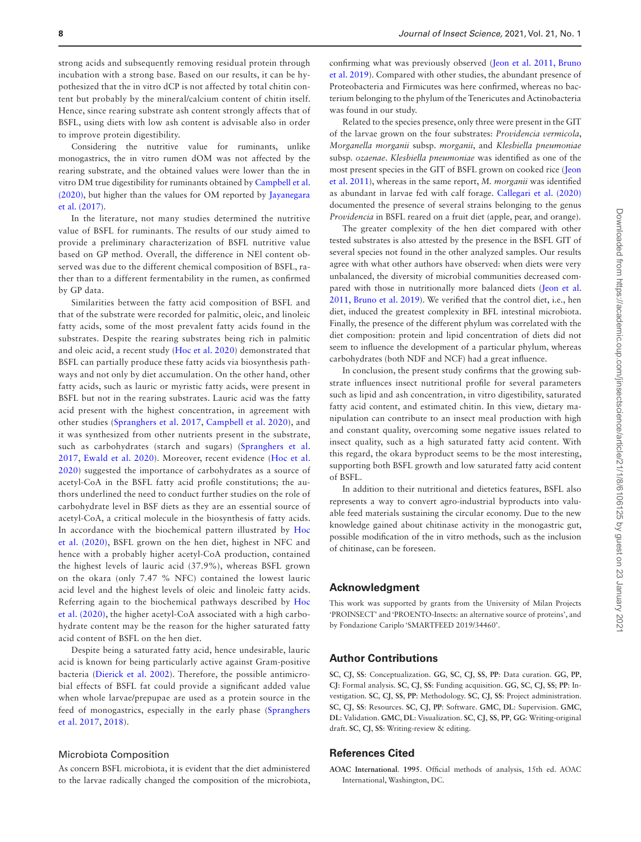strong acids and subsequently removing residual protein through incubation with a strong base. Based on our results, it can be hypothesized that the in vitro dCP is not affected by total chitin content but probably by the mineral/calcium content of chitin itself. Hence, since rearing substrate ash content strongly affects that of BSFL, using diets with low ash content is advisable also in order to improve protein digestibility.

Considering the nutritive value for ruminants, unlike monogastrics, the in vitro rumen dOM was not affected by the rearing substrate, and the obtained values were lower than the in vitro DM true digestibility for ruminants obtained by [Campbell et al.](#page-8-10) [\(2020\)](#page-8-10), but higher than the values for OM reported by [Jayanegara](#page-8-9) [et al. \(2017\)](#page-8-9).

In the literature, not many studies determined the nutritive value of BSFL for ruminants. The results of our study aimed to provide a preliminary characterization of BSFL nutritive value based on GP method. Overall, the difference in NEl content observed was due to the different chemical composition of BSFL, rather than to a different fermentability in the rumen, as confirmed by GP data.

Similarities between the fatty acid composition of BSFL and that of the substrate were recorded for palmitic, oleic, and linoleic fatty acids, some of the most prevalent fatty acids found in the substrates. Despite the rearing substrates being rich in palmitic and oleic acid, a recent study ([Hoc et al. 2020\)](#page-8-37) demonstrated that BSFL can partially produce these fatty acids via biosynthesis pathways and not only by diet accumulation. On the other hand, other fatty acids, such as lauric or myristic fatty acids, were present in BSFL but not in the rearing substrates. Lauric acid was the fatty acid present with the highest concentration, in agreement with other studies ([Spranghers et al. 2017,](#page-9-7) [Campbell et al. 2020\)](#page-8-10), and it was synthesized from other nutrients present in the substrate, such as carbohydrates (starch and sugars) ([Spranghers et al.](#page-9-7) [2017,](#page-9-7) [Ewald et al. 2020](#page-8-38)). Moreover, recent evidence ([Hoc et al.](#page-8-37) [2020\)](#page-8-37) suggested the importance of carbohydrates as a source of acetyl-CoA in the BSFL fatty acid profile constitutions; the authors underlined the need to conduct further studies on the role of carbohydrate level in BSF diets as they are an essential source of acetyl-CoA, a critical molecule in the biosynthesis of fatty acids. In accordance with the biochemical pattern illustrated by [Hoc](#page-8-37) [et al. \(2020\),](#page-8-37) BSFL grown on the hen diet, highest in NFC and hence with a probably higher acetyl-CoA production, contained the highest levels of lauric acid (37.9%), whereas BSFL grown on the okara (only 7.47 % NFC) contained the lowest lauric acid level and the highest levels of oleic and linoleic fatty acids. Referring again to the biochemical pathways described by [Hoc](#page-8-37) [et al. \(2020\)](#page-8-37), the higher acetyl-CoA associated with a high carbohydrate content may be the reason for the higher saturated fatty acid content of BSFL on the hen diet.

Despite being a saturated fatty acid, hence undesirable, lauric acid is known for being particularly active against Gram-positive bacteria ([Dierick et al. 2002\)](#page-8-39). Therefore, the possible antimicrobial effects of BSFL fat could provide a significant added value when whole larvae/prepupae are used as a protein source in the feed of monogastrics, especially in the early phase ([Spranghers](#page-9-7) [et al. 2017](#page-9-7), [2018\)](#page-9-16).

## Microbiota Composition

As concern BSFL microbiota, it is evident that the diet administered to the larvae radically changed the composition of the microbiota, confirming what was previously observed ([Jeon et al. 2011,](#page-8-15) [Bruno](#page-8-16) [et al. 2019\)](#page-8-16). Compared with other studies, the abundant presence of Proteobacteria and Firmicutes was here confirmed, whereas no bacterium belonging to the phylum of the Tenericutes and Actinobacteria was found in our study.

Related to the species presence, only three were present in the GIT of the larvae grown on the four substrates: *Providencia vermicola*, *Morganella morganii* subsp. *morganii*, and *Klesbiella pneumoniae* subsp*. ozaenae*. *Klesbiella pneumoniae* was identified as one of the most present species in the GIT of BSFL grown on cooked rice ([Jeon](#page-8-15) [et al. 2011\)](#page-8-15), whereas in the same report, *M. morganii* was identified as abundant in larvae fed with calf forage. [Callegari et al. \(2020\)](#page-8-19) documented the presence of several strains belonging to the genus *Providencia* in BSFL reared on a fruit diet (apple, pear, and orange).

The greater complexity of the hen diet compared with other tested substrates is also attested by the presence in the BSFL GIT of several species not found in the other analyzed samples. Our results agree with what other authors have observed: when diets were very unbalanced, the diversity of microbial communities decreased compared with those in nutritionally more balanced diets [\(Jeon et al.](#page-8-15) [2011,](#page-8-15) [Bruno et al. 2019\)](#page-8-16). We verified that the control diet, i.e., hen diet, induced the greatest complexity in BFL intestinal microbiota. Finally, the presence of the different phylum was correlated with the diet composition: protein and lipid concentration of diets did not seem to influence the development of a particular phylum, whereas carbohydrates (both NDF and NCF) had a great influence.

In conclusion, the present study confirms that the growing substrate influences insect nutritional profile for several parameters such as lipid and ash concentration, in vitro digestibility, saturated fatty acid content, and estimated chitin. In this view, dietary manipulation can contribute to an insect meal production with high and constant quality, overcoming some negative issues related to insect quality, such as a high saturated fatty acid content. With this regard, the okara byproduct seems to be the most interesting, supporting both BSFL growth and low saturated fatty acid content of BSFL.

In addition to their nutritional and dietetics features, BSFL also represents a way to convert agro-industrial byproducts into valuable feed materials sustaining the circular economy. Due to the new knowledge gained about chitinase activity in the monogastric gut, possible modification of the in vitro methods, such as the inclusion of chitinase, can be foreseen.

## **Acknowledgment**

This work was supported by grants from the University of Milan Projects 'PROINSECT' and 'PROENTO-Insects: an alternative source of proteins', and by Fondazione Cariplo 'SMARTFEED 2019/34460'.

# **Author Contributions**

**SC**, **CJ**, **SS**: Conceptualization. **GG**, **SC**, **CJ**, **SS**, **PP**: Data curation. **GG**, **PP**, **CJ**: Formal analysis. **SC**, **CJ**, **SS**: Funding acquisition. **GG**, **SC**, **CJ**, **SS**; **PP**: Investigation. **SC**, **CJ**, **SS**, **PP**: Methodology. **SC**, **CJ**, **SS**: Project administration. **SC**, **CJ**, **SS**: Resources. **SC**, **CJ**, **PP**: Software. **GMC**, **DL**: Supervision. **GMC**, **DL**: Validation. **GMC**, **DL**: Visualization. **SC**, **CJ**, **SS**, **PP**, **GG**: Writing-original draft. **SC**, **CJ**, **SS**: Writing-review & editing.

#### **References Cited**

<span id="page-7-0"></span>**AOAC International**. **1995**. Official methods of analysis, 15th ed. AOAC International, Washington, DC.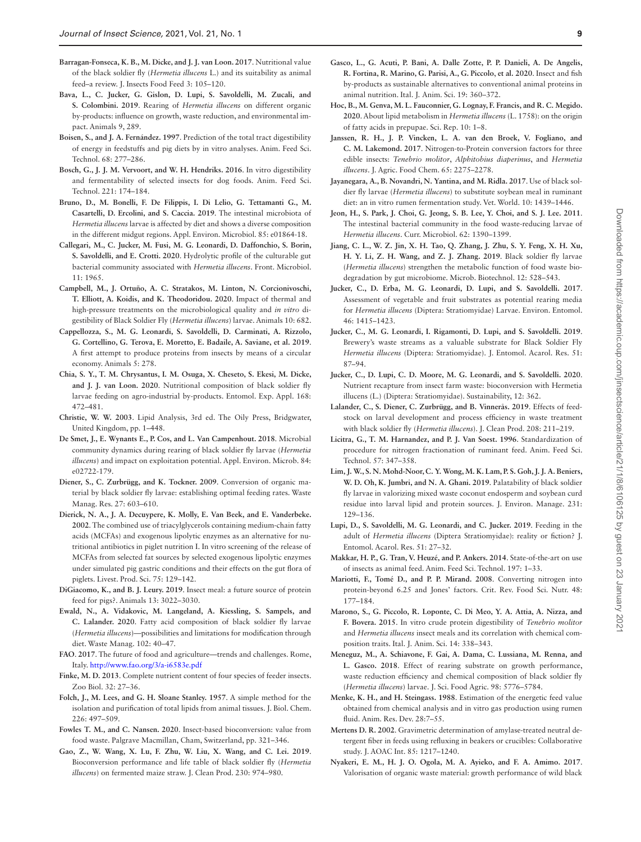- <span id="page-8-1"></span>**Barragan-Fonseca, K. B., M. Dicke, and J. J. van Loon. 2017**. Nutritional value of the black soldier fly (*Hermetia illucens* L.) and its suitability as animal feed–a review. J. Insects Food Feed 3: 105–120.
- <span id="page-8-3"></span>**Bava, L., C. Jucker, G. Gislon, D. Lupi, S. Savoldelli, M. Zucali, and S. Colombini. 2019**. Rearing of *Hermetia illucens* on different organic by-products: influence on growth, waste reduction, and environmental impact. Animals 9, 289.
- <span id="page-8-26"></span>**Boisen, S., and J. A. Fernández. 1997**. Prediction of the total tract digestibility of energy in feedstuffs and pig diets by in vitro analyses. Anim. Feed Sci. Technol. 68: 277–286.
- <span id="page-8-36"></span>**Bosch, G., J. J. M. Vervoort, and W. H. Hendriks. 2016**. In vitro digestibility and fermentability of selected insects for dog foods. Anim. Feed Sci. Technol. 221: 174–184.
- <span id="page-8-16"></span>**Bruno, D., M. Bonelli, F. De Filippis, I. Di Lelio, G. Tettamanti G., M. Casartelli, D. Ercolini, and S. Caccia. 2019**. The intestinal microbiota of *Hermetia illucens* larvae is affected by diet and shows a diverse composition in the different midgut regions. Appl. Environ. Microbiol. 85: e01864-18.
- <span id="page-8-19"></span>**Callegari, M., C. Jucker, M. Fusi, M. G. Leonardi, D. Daffonchio, S. Borin, S. Savoldelli, and E. Crotti. 2020**. Hydrolytic profile of the culturable gut bacterial community associated with *Hermetia illucens*. Front. Microbiol. 11: 1965.
- <span id="page-8-10"></span>**Campbell, M., J. Ortuño, A. C. Stratakos, M. Linton, N. Corcionivoschi, T. Elliott, A. Koidis, and K. Theodoridou. 2020**. Impact of thermal and high-pressure treatments on the microbiological quality and *in vitro* digestibility of Black Soldier Fly (*Hermetia illucens*) larvae. Animals 10: 682.
- <span id="page-8-4"></span>**Cappellozza, S., M. G. Leonardi, S. Savoldelli, D. Carminati, A. Rizzolo, G. Cortellino, G. Terova, E. Moretto, E. Badaile, A. Saviane, et al. 2019**. A first attempt to produce proteins from insects by means of a circular economy. Animals 5: 278.
- <span id="page-8-29"></span>**Chia, S. Y., T. M. Chrysantus, I. M. Osuga, X. Cheseto, S. Ekesi, M. Dicke, and J. J. van Loon. 2020**. Nutritional composition of black soldier fly larvae feeding on agro-industrial by-products. Entomol. Exp. Appl. 168: 472–481.
- <span id="page-8-25"></span>**Christie, W. W. 2003**. Lipid Analysis, 3rd ed. The Oily Press, Bridgwater, United Kingdom, pp. 1–448.
- <span id="page-8-17"></span>**De Smet, J., E. Wynants E., P. Cos, and L. Van Campenhout. 2018**. Microbial community dynamics during rearing of black soldier fly larvae (*Hermetia illucens*) and impact on exploitation potential. Appl. Environ. Microb. 84: e02722-179.
- <span id="page-8-20"></span>**Diener, S., C. Zurbrügg, and K. Tockner. 2009**. Conversion of organic material by black soldier fly larvae: establishing optimal feeding rates. Waste Manag. Res. 27: 603–610.
- <span id="page-8-39"></span>**Dierick, N. A., J. A. Decuypere, K. Molly, E. Van Beek, and E. Vanderbeke. 2002**. The combined use of triacylglycerols containing medium-chain fatty acids (MCFAs) and exogenous lipolytic enzymes as an alternative for nutritional antibiotics in piglet nutrition I. In vitro screening of the release of MCFAs from selected fat sources by selected exogenous lipolytic enzymes under simulated pig gastric conditions and their effects on the gut flora of piglets. Livest. Prod. Sci. 75: 129–142.
- <span id="page-8-7"></span>**DiGiacomo, K., and B. J. Leury. 2019**. Insect meal: a future source of protein feed for pigs?. Animals 13: 3022–3030.
- <span id="page-8-38"></span>**Ewald, N., A. Vidakovic, M. Langeland, A. Kiessling, S. Sampels, and C. Lalander. 2020**. Fatty acid composition of black soldier fly larvae (*Hermetia illucens*)—possibilities and limitations for modification through diet. Waste Manag. 102: 40–47.
- <span id="page-8-0"></span>**FAO**. **2017**. The future of food and agriculture—trends and challenges. Rome, Italy. <http://www.fao.org/3/a-i6583e.pdf>
- <span id="page-8-33"></span>**Finke, M. D. 2013**. Complete nutrient content of four species of feeder insects. Zoo Biol. 32: 27–36.
- <span id="page-8-24"></span>**Folch, J., M. Lees, and G. H. Sloane Stanley. 1957**. A simple method for the isolation and purification of total lipids from animal tissues. J. Biol. Chem. 226: 497–509.
- <span id="page-8-5"></span>**Fowles T. M., and C. Nansen. 2020**. Insect-based bioconversion: value from food waste. Palgrave Macmillan, Cham, Switzerland, pp. 321–346.
- <span id="page-8-31"></span>**Gao, Z., W. Wang, X. Lu, F. Zhu, W. Liu, X. Wang, and C. Lei. 2019**. Bioconversion performance and life table of black soldier fly (*Hermetia illucens*) on fermented maize straw. J. Clean Prod. 230: 974–980.
- <span id="page-8-2"></span>**Gasco, L., G. Acuti, P. Bani, A. Dalle Zotte, P. P. Danieli, A. De Angelis, R. Fortina, R. Marino, G. Parisi, A., G. Piccolo**, **et al. 2020**. Insect and fish by-products as sustainable alternatives to conventional animal proteins in animal nutrition. Ital. J. Anim. Sci. 19: 360–372.
- <span id="page-8-37"></span>**Hoc, B., M. Genva, M. L. Fauconnier, G. Lognay, F. Francis, and R. C. Megido. 2020**. About lipid metabolism in *Hermetia illucens* (L. 1758): on the origin of fatty acids in prepupae. Sci. Rep. 10: 1–8.
- <span id="page-8-35"></span>**Janssen, R. H., J. P. Vincken, L. A. van den Broek, V. Fogliano, and C. M. Lakemond. 2017**. Nitrogen-to-Protein conversion factors for three edible insects: *Tenebrio molitor*, *Alphitobius diaperinus*, and *Hermetia illucens*. J. Agric. Food Chem. 65: 2275–2278.
- <span id="page-8-9"></span>**Jayanegara, A., B. Novandri, N. Yantina, and M. Ridla. 2017**. Use of black soldier fly larvae (*Hermetia illucens*) to substitute soybean meal in ruminant diet: an in vitro rumen fermentation study. Vet. World. 10: 1439–1446.
- <span id="page-8-15"></span>**Jeon, H., S. Park, J. Choi, G. Jeong, S. B. Lee, Y. Choi, and S. J. Lee. 2011**. The intestinal bacterial community in the food waste-reducing larvae of *Hermetia illucens*. Curr. Microbiol. 62: 1390–1399.
- <span id="page-8-18"></span>**Jiang, C. L., W. Z. Jin, X. H. Tao, Q. Zhang, J. Zhu, S. Y. Feng, X. H. Xu, H. Y. Li, Z. H. Wang, and Z. J. Zhang. 2019**. Black soldier fly larvae (*Hermetia illucens*) strengthen the metabolic function of food waste biodegradation by gut microbiome. Microb. Biotechnol. 12: 528–543.
- <span id="page-8-11"></span>**Jucker, C., D. Erba, M. G. Leonardi, D. Lupi, and S. Savoldelli. 2017**. Assessment of vegetable and fruit substrates as potential rearing media for *Hermetia illucens* (Diptera: Stratiomyidae) Larvae. Environ. Entomol. 46: 1415–1423.
- <span id="page-8-12"></span>**Jucker, C., M. G. Leonardi, I. Rigamonti, D. Lupi, and S. Savoldelli. 2019**. Brewery's waste streams as a valuable substrate for Black Soldier Fly *Hermetia illucens* (Diptera: Stratiomyidae). J. Entomol. Acarol. Res. 51: 87–94.
- <span id="page-8-6"></span>**Jucker, C., D. Lupi, C. D. Moore, M. G. Leonardi, and S. Savoldelli. 2020**. Nutrient recapture from insect farm waste: bioconversion with Hermetia illucens (L.) (Diptera: Stratiomyidae). Sustainability, 12: 362.
- <span id="page-8-32"></span>**Lalander, C., S. Diener, C. Zurbrügg, and B. Vinnerås. 2019**. Effects of feedstock on larval development and process efficiency in waste treatment with black soldier fly (*Hermetia illucens*). J. Clean Prod. 208: 211–219.
- <span id="page-8-22"></span>**Licitra, G., T. M. Harnandez, and P. J. Van Soest. 1996**. Standardization of procedure for nitrogen fractionation of ruminant feed. Anim. Feed Sci. Technol. 57: 347–358.
- <span id="page-8-30"></span>**Lim, J. W., S. N. Mohd-Noor, C. Y. Wong, M. K. Lam, P. S. Goh, J. J. A. Beniers, W. D. Oh, K. Jumbri, and N. A. Ghani. 2019**. Palatability of black soldier fly larvae in valorizing mixed waste coconut endosperm and soybean curd residue into larval lipid and protein sources. J. Environ. Manage. 231: 129–136.
- <span id="page-8-14"></span>**Lupi, D., S. Savoldelli, M. G. Leonardi, and C. Jucker. 2019**. Feeding in the adult of *Hermetia illucens* (Diptera Stratiomyidae): reality or fiction? J. Entomol. Acarol. Res. 51: 27–32.
- <span id="page-8-8"></span>**Makkar, H. P., G. Tran, V. Heuzé, and P. Ankers. 2014**. State-of-the-art on use of insects as animal feed. Anim. Feed Sci. Technol. 197: 1–33.
- <span id="page-8-34"></span>**Mariotti, F., Tomé D., and P. P. Mirand. 2008**. Converting nitrogen into protein-beyond 6.25 and Jones' factors. Crit. Rev. Food Sci. Nutr. 48: 177–184.
- <span id="page-8-23"></span>**Marono, S., G. Piccolo, R. Loponte, C. Di Meo, Y. A. Attia, A. Nizza, and F. Bovera. 2015**. In vitro crude protein digestibility of *Tenebrio molitor* and *Hermetia illucens* insect meals and its correlation with chemical composition traits. Ital. J. Anim. Sci. 14: 338–343.
- <span id="page-8-28"></span>**Meneguz, M., A. Schiavone, F. Gai, A. Dama, C. Lussiana, M. Renna, and L. Gasco. 2018**. Effect of rearing substrate on growth performance, waste reduction efficiency and chemical composition of black soldier fly (*Hermetia illucens*) larvae. J. Sci. Food Agric. 98: 5776–5784.
- <span id="page-8-27"></span>**Menke, K. H., and H. Steingass. 1988**. Estimation of the energetic feed value obtained from chemical analysis and in vitro gas production using rumen fluid. Anim. Res. Dev. 28:7–55.
- <span id="page-8-21"></span>**Mertens D. R. 2002**. Gravimetric determination of amylase-treated neutral detergent fiber in feeds using refluxing in beakers or crucibles: Collaborative study. J. AOAC Int. 85: 1217–1240.
- <span id="page-8-13"></span>**Nyakeri, E. M., H. J. O. Ogola, M. A. Ayieko, and F. A. Amimo. 2017**. Valorisation of organic waste material: growth performance of wild black